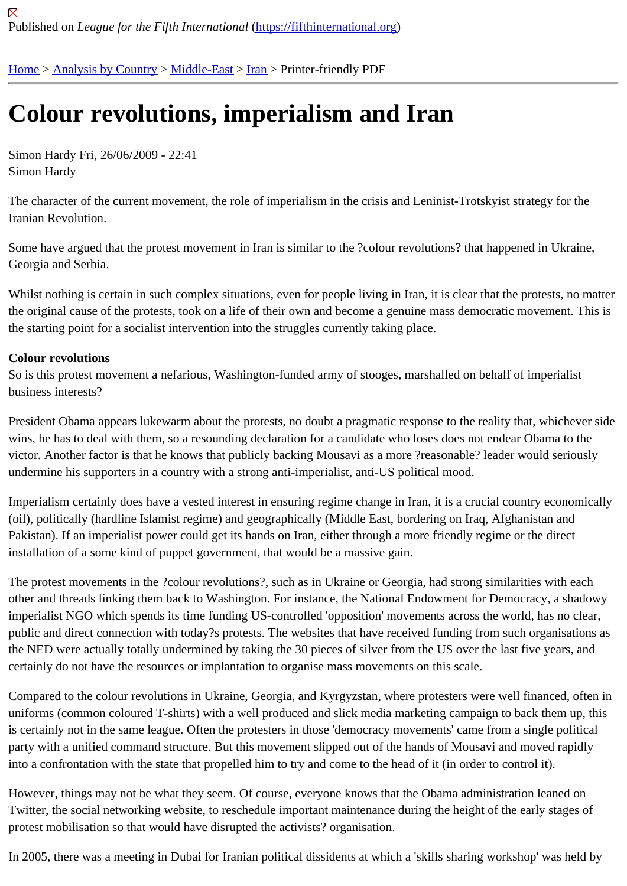## [Co](https://fifthinternational.org/)l[our revolu](https://fifthinternational.org/category/1)t[ions, i](https://fifthinternational.org/category/1/178)[mpe](https://fifthinternational.org/category/1/178/182)rialism and Iran

Simon Hardy Fri, 26/06/2009 - 22:41 Simon Hardy

The character of the current movement, the role of imperialism in the crisis and Leninist-Trotskyist strategy for the Iranian Revolution.

Some have argued that the protest movement in Iran is similar to the ?colour revolutions? that happened in Ukrain Georgia and Serbia.

Whilst nothing is certain in such complex situations, even for people living in Iran, it is clear that the protests, no m the original cause of the protests, took on a life of their own and become a genuine mass democratic movement. T the starting point for a socialist intervention into the struggles currently taking place.

## Colour revolutions

So is this protest movement a nefarious, Washington-funded army of stooges, marshalled on behalf of imperialist business interests?

President Obama appears lukewarm about the protests, no doubt a pragmatic response to the reality that, whicher wins, he has to deal with them, so a resounding declaration for a candidate who loses does not endear Obama to the victor. Another factor is that he knows that publicly backing Mousavi as a more ?reasonable? leader would serious undermine his supporters in a country with a strong anti-imperialist, anti-US political mood.

Imperialism certainly does have a vested interest in ensuring regime change in Iran, it is a crucial country economi (oil), politically (hardline Islamist regime) and geographically (Middle East, bordering on Iraq, Afghanistan and Pakistan). If an imperialist power could get its hands on Iran, either through a more friendly regime or the direct installation of a some kind of puppet government, that would be a massive gain.

The protest movements in the ?colour revolutions?, such as in Ukraine or Georgia, had strong similarities with each other and threads linking them back to Washington. For instance, the National Endowment for Democracy, a shad imperialist NGO which spends its time funding US-controlled 'opposition' movements across the world, has no clea public and direct connection with today?s protests. The websites that have received funding from such organisatio the NED were actually totally undermined by taking the 30 pieces of silver from the US over the last five years, and certainly do not have the resources or implantation to organise mass movements on this scale.

Compared to the colour revolutions in Ukraine, Georgia, and Kyrgyzstan, where protesters were well financed, ofte uniforms (common coloured T-shirts) with a well produced and slick media marketing campaign to back them up, t is certainly not in the same league. Often the protesters in those 'democracy movements' came from a single politi party with a unified command structure. But this movement slipped out of the hands of Mousavi and moved rapidly into a confrontation with the state that propelled him to try and come to the head of it (in order to control it).

However, things may not be what they seem. Of course, everyone knows that the Obama administration leaned on Twitter, the social networking website, to reschedule important maintenance during the height of the early stages o protest mobilisation so that would have disrupted the activists? organisation.

In 2005, there was a meeting in Dubai for Iranian political dissidents at which a 'skills sharing workshop' was held b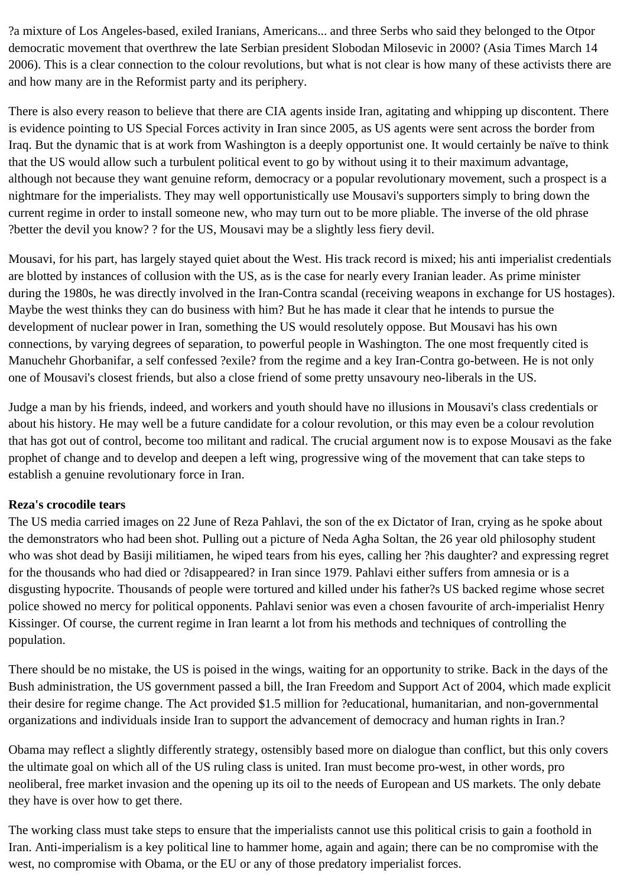?a mixture of Los Angeles-based, exiled Iranians, Americans... and three Serbs who said they belonged to the Otpor democratic movement that overthrew the late Serbian president Slobodan Milosevic in 2000? (Asia Times March 14 2006). This is a clear connection to the colour revolutions, but what is not clear is how many of these activists there are and how many are in the Reformist party and its periphery.

There is also every reason to believe that there are CIA agents inside Iran, agitating and whipping up discontent. There is evidence pointing to US Special Forces activity in Iran since 2005, as US agents were sent across the border from Iraq. But the dynamic that is at work from Washington is a deeply opportunist one. It would certainly be naïve to think that the US would allow such a turbulent political event to go by without using it to their maximum advantage, although not because they want genuine reform, democracy or a popular revolutionary movement, such a prospect is a nightmare for the imperialists. They may well opportunistically use Mousavi's supporters simply to bring down the current regime in order to install someone new, who may turn out to be more pliable. The inverse of the old phrase ?better the devil you know? ? for the US, Mousavi may be a slightly less fiery devil.

Mousavi, for his part, has largely stayed quiet about the West. His track record is mixed; his anti imperialist credentials are blotted by instances of collusion with the US, as is the case for nearly every Iranian leader. As prime minister during the 1980s, he was directly involved in the Iran-Contra scandal (receiving weapons in exchange for US hostages). Maybe the west thinks they can do business with him? But he has made it clear that he intends to pursue the development of nuclear power in Iran, something the US would resolutely oppose. But Mousavi has his own connections, by varying degrees of separation, to powerful people in Washington. The one most frequently cited is Manuchehr Ghorbanifar, a self confessed ?exile? from the regime and a key Iran-Contra go-between. He is not only one of Mousavi's closest friends, but also a close friend of some pretty unsavoury neo-liberals in the US.

Judge a man by his friends, indeed, and workers and youth should have no illusions in Mousavi's class credentials or about his history. He may well be a future candidate for a colour revolution, or this may even be a colour revolution that has got out of control, become too militant and radical. The crucial argument now is to expose Mousavi as the fake prophet of change and to develop and deepen a left wing, progressive wing of the movement that can take steps to establish a genuine revolutionary force in Iran.

## **Reza's crocodile tears**

The US media carried images on 22 June of Reza Pahlavi, the son of the ex Dictator of Iran, crying as he spoke about the demonstrators who had been shot. Pulling out a picture of Neda Agha Soltan, the 26 year old philosophy student who was shot dead by Basiji militiamen, he wiped tears from his eyes, calling her ?his daughter? and expressing regret for the thousands who had died or ?disappeared? in Iran since 1979. Pahlavi either suffers from amnesia or is a disgusting hypocrite. Thousands of people were tortured and killed under his father?s US backed regime whose secret police showed no mercy for political opponents. Pahlavi senior was even a chosen favourite of arch-imperialist Henry Kissinger. Of course, the current regime in Iran learnt a lot from his methods and techniques of controlling the population.

There should be no mistake, the US is poised in the wings, waiting for an opportunity to strike. Back in the days of the Bush administration, the US government passed a bill, the Iran Freedom and Support Act of 2004, which made explicit their desire for regime change. The Act provided \$1.5 million for ?educational, humanitarian, and non-governmental organizations and individuals inside Iran to support the advancement of democracy and human rights in Iran.?

Obama may reflect a slightly differently strategy, ostensibly based more on dialogue than conflict, but this only covers the ultimate goal on which all of the US ruling class is united. Iran must become pro-west, in other words, pro neoliberal, free market invasion and the opening up its oil to the needs of European and US markets. The only debate they have is over how to get there.

The working class must take steps to ensure that the imperialists cannot use this political crisis to gain a foothold in Iran. Anti-imperialism is a key political line to hammer home, again and again; there can be no compromise with the west, no compromise with Obama, or the EU or any of those predatory imperialist forces.